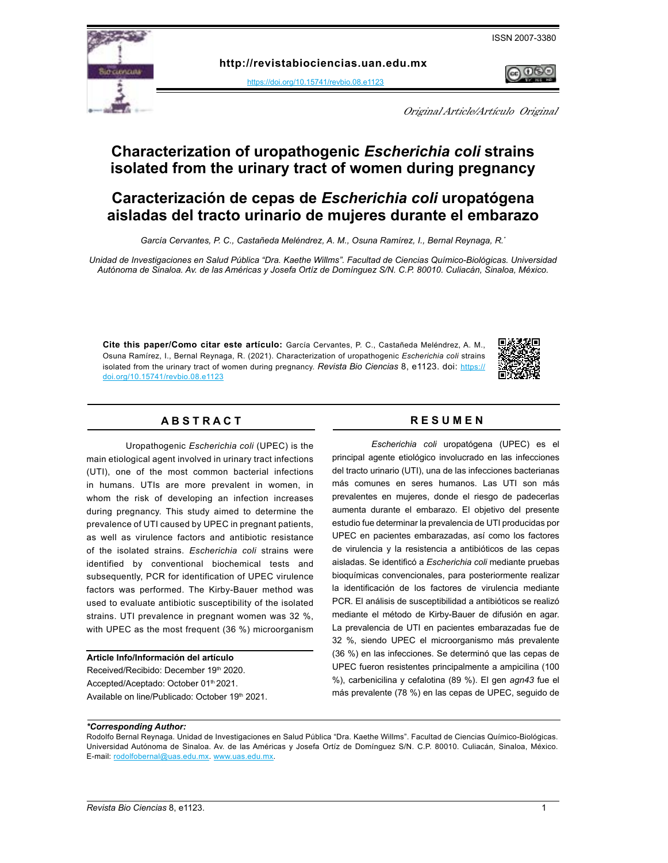

**http:[/](https://doi.org/10.15741/revbio.07.e875 )/revistabiociencias.uan.edu.mx** 

[https://doi.org/10.15741/revbio.08.e1123](https://doi.org/10.15741/revbio.08.e1123 )

Original Article/Artículo Original

# **Characterization of uropathogenic** *Escherichia coli* **strains isolated from the urinary tract of women during pregnancy**

# **Caracterización de cepas de** *Escherichia coli* **uropatógena aisladas del tracto urinario de mujeres durante el embarazo**

*García Cervantes, P. C., Castañeda Meléndrez, A. M., Osuna Ramírez, I., Bernal Reynaga, R.\**

*Unidad de Investigaciones en Salud Pública "Dra. Kaethe Willms". Facultad de Ciencias Químico-Biológicas. Universidad Autónoma de Sinaloa. Av. de las Américas y Josefa Ortíz de Domínguez S/N. C.P. 80010. Culiacán, Sinaloa, México.* 

**Cite this paper/Como citar este artículo:** García Cervantes, P. C., Castañeda Meléndrez, A. M., Osuna Ramírez, I., Bernal Reynaga, R. (2021). Characterization of uropathogenic *Escherichia coli* strains isolated from the urinary tract of women during pregnancy. *[Revista Bio Ciencias](doi: https://doi.org/10.15741/revbio.08.e982
)* 8, e1123. doi: [https://](https://doi.org/10.15741/revbio.08.e1123 ) [doi.org/10.15741/revbio.08.e1123](https://doi.org/10.15741/revbio.08.e1123 )



# A B S T R A C T RESUMEN

Uropathogenic *Escherichia coli* (UPEC) is the main etiological agent involved in urinary tract infections (UTI), one of the most common bacterial infections in humans. UTIs are more prevalent in women, in whom the risk of developing an infection increases during pregnancy. This study aimed to determine the prevalence of UTI caused by UPEC in pregnant patients, as well as virulence factors and antibiotic resistance of the isolated strains. *Escherichia coli* strains were identified by conventional biochemical tests and subsequently, PCR for identification of UPEC virulence factors was performed. The Kirby-Bauer method was used to evaluate antibiotic susceptibility of the isolated strains. UTI prevalence in pregnant women was 32 %, with UPEC as the most frequent (36 %) microorganism

#### **Article Info/Información del artículo**

Received/Recibido: December 19th 2020. Accepted/Aceptado: October 01<sup>th</sup> 2021. Available on line/Publicado: October 19th 2021.

*Escherichia coli* uropatógena (UPEC) es el principal agente etiológico involucrado en las infecciones del tracto urinario (UTI), una de las infecciones bacterianas más comunes en seres humanos. Las UTI son más prevalentes en mujeres, donde el riesgo de padecerlas aumenta durante el embarazo. El objetivo del presente estudio fue determinar la prevalencia de UTI producidas por UPEC en pacientes embarazadas, así como los factores de virulencia y la resistencia a antibióticos de las cepas aisladas. Se identificó a *Escherichia coli* mediante pruebas bioquímicas convencionales, para posteriormente realizar la identificación de los factores de virulencia mediante PCR. El análisis de susceptibilidad a antibióticos se realizó mediante el método de Kirby-Bauer de difusión en agar. La prevalencia de UTI en pacientes embarazadas fue de 32 %, siendo UPEC el microorganismo más prevalente (36 %) en las infecciones. Se determinó que las cepas de UPEC fueron resistentes principalmente a ampicilina (100 %), carbenicilina y cefalotina (89 %). El gen *agn43* fue el más prevalente (78 %) en las cepas de UPEC, seguido de

# *\*Corresponding Author:*

Rodolfo Bernal Reynaga. Unidad de Investigaciones en Salud Pública "Dra. Kaethe Willms". Facultad de Ciencias Químico-Biológicas. Universidad Autónoma de Sinaloa. Av. de las Américas y Josefa Ortíz de Domínguez S/N. C.P. 80010. Culiacán, Sinaloa, México. E-mail: [rodolfobernal@uas.edu.mx.](mailto:rodolfobernal%40uas.edu.mx?subject=) [www.uas.edu.mx.](http://www.uas.edu.mx)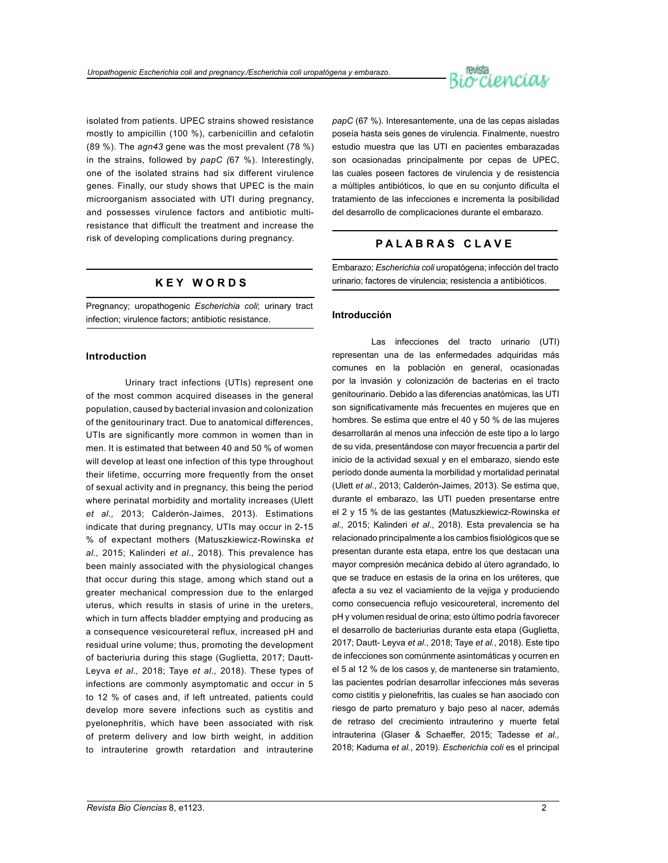

isolated from patients. UPEC strains showed resistance mostly to ampicillin (100 %), carbenicillin and cefalotin (89 %). The *agn43* gene was the most prevalent (78 %) in the strains, followed by *papC (*67 %). Interestingly, one of the isolated strains had six different virulence genes. Finally, our study shows that UPEC is the main microorganism associated with UTI during pregnancy, and possesses virulence factors and antibiotic multiresistance that difficult the treatment and increase the risk of developing complications during pregnancy.

# **K E Y W O R D S**

Pregnancy; uropathogenic *Escherichia coli*; urinary tract infection; virulence factors; antibiotic resistance.

# **Introduction**

Urinary tract infections (UTIs) represent one of the most common acquired diseases in the general population, caused by bacterial invasion and colonization of the genitourinary tract. Due to anatomical differences, UTIs are significantly more common in women than in men. It is estimated that between 40 and 50 % of women will develop at least one infection of this type throughout their lifetime, occurring more frequently from the onset of sexual activity and in pregnancy, this being the period where perinatal morbidity and mortality increases (Ulett *et al.,* 2013; Calderón-Jaimes, 2013). Estimations indicate that during pregnancy, UTIs may occur in 2-15 % of expectant mothers (Matuszkiewicz-Rowinska *et al.,* 2015; Kalinderi *et al.,* 2018). This prevalence has been mainly associated with the physiological changes that occur during this stage, among which stand out a greater mechanical compression due to the enlarged uterus, which results in stasis of urine in the ureters, which in turn affects bladder emptying and producing as a consequence vesicoureteral reflux, increased pH and residual urine volume; thus, promoting the development of bacteriuria during this stage (Guglietta, 2017; Dautt-Leyva *et al.,* 2018; Taye *et al.,* 2018). These types of infections are commonly asymptomatic and occur in 5 to 12 % of cases and, if left untreated, patients could develop more severe infections such as cystitis and pyelonephritis, which have been associated with risk of preterm delivery and low birth weight, in addition to intrauterine growth retardation and intrauterine *papC* (67 %). Interesantemente, una de las cepas aisladas poseía hasta seis genes de virulencia. Finalmente, nuestro estudio muestra que las UTI en pacientes embarazadas son ocasionadas principalmente por cepas de UPEC, las cuales poseen factores de virulencia y de resistencia a múltiples antibióticos, lo que en su conjunto dificulta el tratamiento de las infecciones e incrementa la posibilidad del desarrollo de complicaciones durante el embarazo.

# **P A L A B R A S C L A V E**

Embarazo; *Escherichia coli* uropatógena; infección del tracto urinario; factores de virulencia; resistencia a antibióticos.

# **Introducción**

Las infecciones del tracto urinario (UTI) representan una de las enfermedades adquiridas más comunes en la población en general, ocasionadas por la invasión y colonización de bacterias en el tracto genitourinario. Debido a las diferencias anatómicas, las UTI son significativamente más frecuentes en mujeres que en hombres. Se estima que entre el 40 y 50 % de las mujeres desarrollarán al menos una infección de este tipo a lo largo de su vida, presentándose con mayor frecuencia a partir del inicio de la actividad sexual y en el embarazo, siendo este período donde aumenta la morbilidad y mortalidad perinatal (Ulett *et al*., 2013; Calderón-Jaimes, 2013). Se estima que, durante el embarazo, las UTI pueden presentarse entre el 2 y 15 % de las gestantes (Matuszkiewicz-Rowinska *et al.,* 2015; Kalinderi *et al*., 2018). Esta prevalencia se ha relacionado principalmente a los cambios fisiológicos que se presentan durante esta etapa, entre los que destacan una mayor compresión mecánica debido al útero agrandado, lo que se traduce en estasis de la orina en los uréteres, que afecta a su vez el vaciamiento de la vejiga y produciendo como consecuencia reflujo vesicoureteral, incremento del pH y volumen residual de orina; esto último podría favorecer el desarrollo de bacteriurias durante esta etapa (Guglietta, 2017; Dautt- Leyva *et al*., 2018; Taye *et al.*, 2018). Este tipo de infecciones son comúnmente asintomáticas y ocurren en el 5 al 12 % de los casos y, de mantenerse sin tratamiento, las pacientes podrían desarrollar infecciones más severas como cistitis y pielonefritis, las cuales se han asociado con riesgo de parto prematuro y bajo peso al nacer, además de retraso del crecimiento intrauterino y muerte fetal intrauterina (Glaser & Schaeffer, 2015; Tadesse *et al.,*  2018; Kaduma *et al.*, 2019). *Escherichia coli* es el principal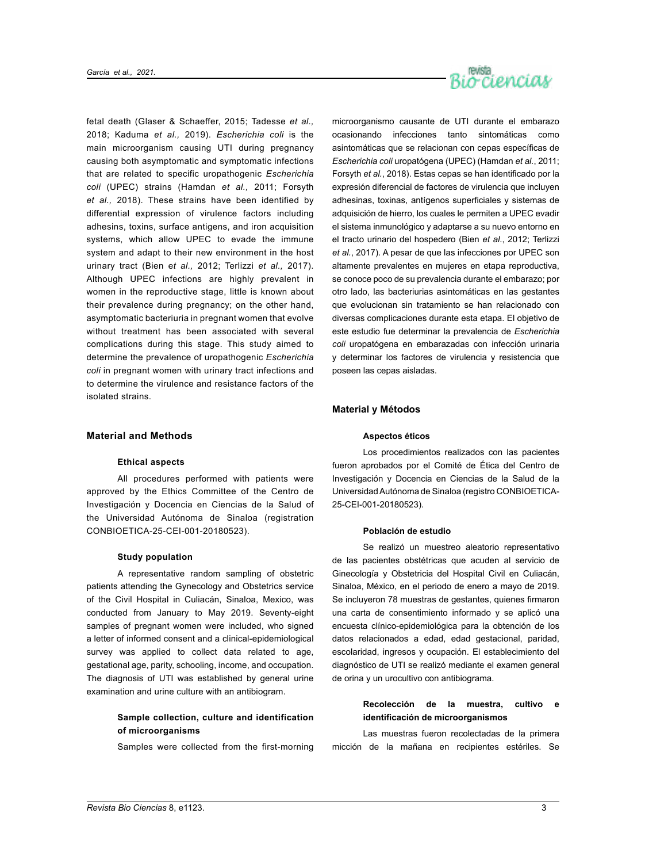

fetal death (Glaser & Schaeffer, 2015; Tadesse *et al.,*  2018; Kaduma *et al.,* 2019). *Escherichia coli* is the main microorganism causing UTI during pregnancy causing both asymptomatic and symptomatic infections that are related to specific uropathogenic *Escherichia coli* (UPEC) strains (Hamdan *et al.,* 2011; Forsyth *et al.,* 2018). These strains have been identified by differential expression of virulence factors including adhesins, toxins, surface antigens, and iron acquisition systems, which allow UPEC to evade the immune system and adapt to their new environment in the host urinary tract (Bien e*t al.,* 2012; Terlizzi *et al.,* 2017). Although UPEC infections are highly prevalent in women in the reproductive stage, little is known about their prevalence during pregnancy; on the other hand, asymptomatic bacteriuria in pregnant women that evolve without treatment has been associated with several complications during this stage. This study aimed to determine the prevalence of uropathogenic *Escherichia coli* in pregnant women with urinary tract infections and to determine the virulence and resistance factors of the isolated strains.

# **Material and Methods**

# **Ethical aspects**

All procedures performed with patients were approved by the Ethics Committee of the Centro de Investigación y Docencia en Ciencias de la Salud of the Universidad Autónoma de Sinaloa (registration CONBIOETICA-25-CEI-001-20180523).

# **Study population**

A representative random sampling of obstetric patients attending the Gynecology and Obstetrics service of the Civil Hospital in Culiacán, Sinaloa, Mexico, was conducted from January to May 2019. Seventy-eight samples of pregnant women were included, who signed a letter of informed consent and a clinical-epidemiological survey was applied to collect data related to age, gestational age, parity, schooling, income, and occupation. The diagnosis of UTI was established by general urine examination and urine culture with an antibiogram.

# **Sample collection, culture and identification of microorganisms**

Samples were collected from the first-morning

microorganismo causante de UTI durante el embarazo ocasionando infecciones tanto sintomáticas como asintomáticas que se relacionan con cepas específicas de *Escherichia coli* uropatógena (UPEC) (Hamdan *et al.*, 2011; Forsyth *et al.*, 2018). Estas cepas se han identificado por la expresión diferencial de factores de virulencia que incluyen adhesinas, toxinas, antígenos superficiales y sistemas de adquisición de hierro, los cuales le permiten a UPEC evadir el sistema inmunológico y adaptarse a su nuevo entorno en el tracto urinario del hospedero (Bien *et al*., 2012; Terlizzi *et al.*, 2017). A pesar de que las infecciones por UPEC son altamente prevalentes en mujeres en etapa reproductiva, se conoce poco de su prevalencia durante el embarazo; por otro lado, las bacteriurias asintomáticas en las gestantes que evolucionan sin tratamiento se han relacionado con diversas complicaciones durante esta etapa. El objetivo de este estudio fue determinar la prevalencia de *Escherichia coli* uropatógena en embarazadas con infección urinaria y determinar los factores de virulencia y resistencia que poseen las cepas aisladas.

# **Material y Métodos**

#### **Aspectos éticos**

Los procedimientos realizados con las pacientes fueron aprobados por el Comité de Ética del Centro de Investigación y Docencia en Ciencias de la Salud de la Universidad Autónoma de Sinaloa (registro CONBIOETICA-25-CEI-001-20180523).

# **Población de estudio**

Se realizó un muestreo aleatorio representativo de las pacientes obstétricas que acuden al servicio de Ginecología y Obstetricia del Hospital Civil en Culiacán, Sinaloa, México, en el periodo de enero a mayo de 2019. Se incluyeron 78 muestras de gestantes, quienes firmaron una carta de consentimiento informado y se aplicó una encuesta clínico-epidemiológica para la obtención de los datos relacionados a edad, edad gestacional, paridad, escolaridad, ingresos y ocupación. El establecimiento del diagnóstico de UTI se realizó mediante el examen general de orina y un urocultivo con antibiograma.

# **Recolección de la muestra, cultivo e identificación de microorganismos**

Las muestras fueron recolectadas de la primera micción de la mañana en recipientes estériles. Se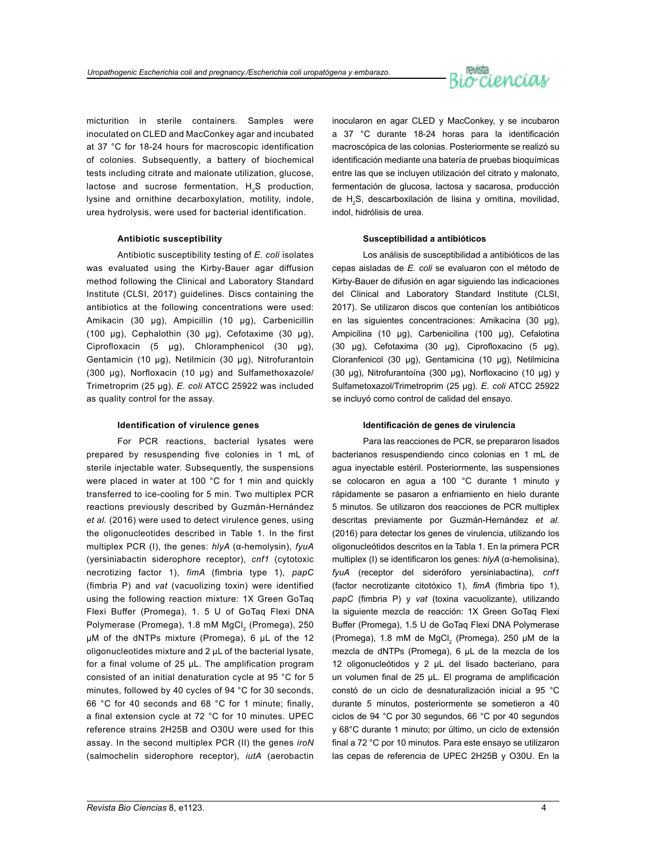

micturition in sterile containers. Samples were inoculated on CLED and MacConkey agar and incubated at 37 °C for 18-24 hours for macroscopic identification of colonies. Subsequently, a battery of biochemical tests including citrate and malonate utilization, glucose, lactose and sucrose fermentation. H<sub>2</sub>S production, lysine and ornithine decarboxylation, motility, indole, urea hydrolysis, were used for bacterial identification.

# **Antibiotic susceptibility**

Antibiotic susceptibility testing of *E. coli* isolates was evaluated using the Kirby-Bauer agar diffusion method following the Clinical and Laboratory Standard Institute (CLSI, 2017) guidelines. Discs containing the antibiotics at the following concentrations were used: Amikacin (30 µg), Ampicillin (10 µg), Carbenicillin (100 µg), Cephalothin (30 µg), Cefotaxime (30 µg), Ciprofloxacin (5 µg), Chloramphenicol (30 µg), Gentamicin (10 µg), Netilmicin (30 µg), Nitrofurantoin (300 µg), Norfloxacin (10 µg) and Sulfamethoxazole/ Trimetroprim (25 µg). *E. coli* ATCC 25922 was included as quality control for the assay.

### **Identification of virulence genes**

For PCR reactions, bacterial lysates were prepared by resuspending five colonies in 1 mL of sterile injectable water. Subsequently, the suspensions were placed in water at 100 °C for 1 min and quickly transferred to ice-cooling for 5 min. Two multiplex PCR reactions previously described by Guzmán-Hernández et al. (2016) were used to detect virulence genes, using the oligonucleotides described in Table 1. In the first multiplex PCR (I), the genes: *hlyA* (α-hemolysin), *fyuA* (yersiniabactin siderophore receptor), *cnf1* (cytotoxic necrotizing factor 1), *fimA* (fimbria type 1), *papC*  (fimbria P) and *vat* (vacuolizing toxin) were identified using the following reaction mixture: 1X Green GoTaq Flexi Buffer (Promega), 1. 5 U of GoTaq Flexi DNA Polymerase (Promega), 1.8 mM MgCl<sub>2</sub> (Promega), 250 µM of the dNTPs mixture (Promega), 6 µL of the 12 oligonucleotides mixture and 2 µL of the bacterial lysate, for a final volume of 25 µL. The amplification program consisted of an initial denaturation cycle at 95 °C for 5 minutes, followed by 40 cycles of 94 °C for 30 seconds, 66 °C for 40 seconds and 68 °C for 1 minute; finally, a final extension cycle at 72 °C for 10 minutes. UPEC reference strains 2H25B and O30U were used for this assay. In the second multiplex PCR (II) the genes *iroN*  (salmochelin siderophore receptor), *iutA* (aerobactin

inocularon en agar CLED y MacConkey, y se incubaron a 37 °C durante 18-24 horas para la identificación macroscópica de las colonias. Posteriormente se realizó su identificación mediante una batería de pruebas bioquímicas entre las que se incluyen utilización del citrato y malonato, fermentación de glucosa, lactosa y sacarosa, producción de H2 S, descarboxilación de lisina y ornitina, movilidad, indol, hidrólisis de urea.

# **Susceptibilidad a antibióticos**

Los análisis de susceptibilidad a antibióticos de las cepas aisladas de *E. coli* se evaluaron con el método de Kirby-Bauer de difusión en agar siguiendo las indicaciones del Clinical and Laboratory Standard Institute (CLSI, 2017). Se utilizaron discos que contenían los antibióticos en las siguientes concentraciones: Amikacina (30 µg), Ampicilina (10 µg), Carbenicilina (100 µg), Cefalotina (30 µg), Cefotaxima (30 µg), Ciprofloxacino (5 µg), Cloranfenicol (30 µg), Gentamicina (10 µg), Netilmicina (30 µg), Nitrofurantoína (300 µg), Norfloxacino (10 µg) y Sulfametoxazol/Trimetroprim (25 µg). *E. coli* ATCC 25922 se incluyó como control de calidad del ensayo.

# **Identificación de genes de virulencia**

Para las reacciones de PCR, se prepararon lisados bacterianos resuspendiendo cinco colonias en 1 mL de agua inyectable estéril. Posteriormente, las suspensiones se colocaron en agua a 100 °C durante 1 minuto y rápidamente se pasaron a enfriamiento en hielo durante 5 minutos. Se utilizaron dos reacciones de PCR multiplex descritas previamente por Guzmán-Hernández *et al*. (2016) para detectar los genes de virulencia, utilizando los oligonucleótidos descritos en la Tabla 1. En la primera PCR multiplex (I) se identificaron los genes: *hlyA* (α-hemolisina), *fyuA* (receptor del sideróforo yersiniabactina), *cnf1*  (factor necrotizante citotóxico 1), *fimA* (fimbria tipo 1), *papC* (fimbria P) y *vat* (toxina vacuolizante), utilizando la siguiente mezcla de reacción: 1X Green GoTaq Flexi Buffer (Promega), 1.5 U de GoTaq Flexi DNA Polymerase (Promega), 1.8 mM de MgCl<sub>2</sub> (Promega), 250 µM de la mezcla de dNTPs (Promega), 6 µL de la mezcla de los 12 oligonucleótidos y 2 µL del lisado bacteriano, para un volumen final de 25 µL. El programa de amplificación constó de un ciclo de desnaturalización inicial a 95 °C durante 5 minutos, posteriormente se sometieron a 40 ciclos de 94 °C por 30 segundos, 66 °C por 40 segundos y 68°C durante 1 minuto; por último, un ciclo de extensión final a 72 °C por 10 minutos. Para este ensayo se utilizaron las cepas de referencia de UPEC 2H25B y O30U. En la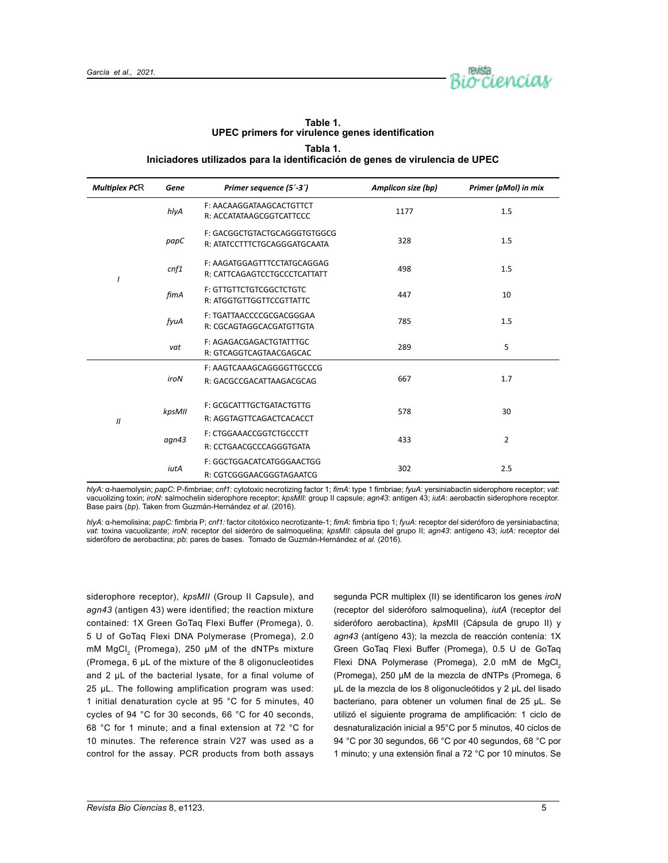

| 1801e 1.<br>UPEC primers for virulence genes identification                  |
|------------------------------------------------------------------------------|
| Tabla 1.                                                                     |
| Iniciadores utilizados para la identificación de genes de virulencia de UPEC |

**Table 1.** 

| <b>Multiplex PCR</b> | Gene   | Primer sequence (5'-3')                                      | Amplicon size (bp) | Primer (pMol) in mix |
|----------------------|--------|--------------------------------------------------------------|--------------------|----------------------|
|                      | hlyA   | F: AACAAGGATAAGCACTGTTCT<br>R: ACCATATAAGCGGTCATTCCC         | 1177               | 1.5                  |
|                      | papC   | F: GACGGCTGTACTGCAGGGTGTGGCG<br>R: ATATCCTTTCTGCAGGGATGCAATA | 328                | 1.5                  |
|                      | cnf1   | F: AAGATGGAGTTTCCTATGCAGGAG<br>R: CATTCAGAGTCCTGCCCTCATTATT  | 498                | 1.5                  |
|                      | fimA   | <b>F: GTTGTTCTGTCGGCTCTGTC</b><br>R: ATGGTGTTGGTTCCGTTATTC   | 10                 |                      |
|                      | fyuA   | F: TGATTAACCCCGCGACGGGAA<br>R: CGCAGTAGGCACGATGTTGTA         | 785                | 1.5                  |
|                      | vat    | F: AGAGACGAGACTGTATTTGC<br>R: GTCAGGTCAGTAACGAGCAC           | 289                | 5                    |
| $\mathcal{U}$        | iroN   | F: AAGTCAAAGCAGGGGTTGCCCG<br>R: GACGCCGACATTAAGACGCAG        | 667                | 1.7                  |
|                      | kpsMII | F: GCGCATTTGCTGATACTGTTG<br>R: AGGTAGTTCAGACTCACACCT         | 578                | 30                   |
|                      | agn43  | F: CTGGAAACCGGTCTGCCCTT<br>R: CCTGAACGCCCAGGGTGATA           | 433                | $\overline{2}$       |
|                      | iutA   | F: GGCTGGACATCATGGGAACTGG<br>R: CGTCGGGAACGGGTAGAATCG        | 302                | 2.5                  |

*hlyA:* α-haemolysin; *papC*: P-fimbriae; *cnf1*: cytotoxic necrotizing factor 1; *fimA*: type 1 fimbriae; *fyuA*: yersiniabactin siderophore receptor; *vat*: vacuolizing toxin; *iroN*: salmochelin siderophore receptor; *kpsMII*: group II capsule; *agn43*: antigen 43; *iutA*: aerobactin siderophore receptor. Base pairs (*bp*). Taken from Guzmán-Hernández *et al.* (2016).

*hlyA*: α-hemolisina; *papC:* fimbria P; *cnf1:* factor citotóxico necrotizante-1; *fimA*: fimbria tipo 1; *fyuA*: receptor del sideróforo de yersiniabactina; *vat*: toxina vacuolizante; *iroN*: receptor del sideróro de salmoquelina; *kpsMII*: cápsula del grupo II; *agn43*: antígeno 43; *iutA:* receptor del sideróforo de aerobactina; *pb*: pares de bases. Tomado de Guzmán-Hernández *et al.* (2016).

siderophore receptor), *kpsMII* (Group II Capsule), and *agn43* (antigen 43) were identified; the reaction mixture contained: 1X Green GoTaq Flexi Buffer (Promega), 0. 5 U of GoTaq Flexi DNA Polymerase (Promega), 2.0 mM MgCl<sub>2</sub> (Promega), 250 µM of the dNTPs mixture (Promega, 6 µL of the mixture of the 8 oligonucleotides and 2 µL of the bacterial lysate, for a final volume of 25 µL. The following amplification program was used: 1 initial denaturation cycle at 95 °C for 5 minutes, 40 cycles of 94 °C for 30 seconds, 66 °C for 40 seconds, 68 °C for 1 minute; and a final extension at 72 °C for 10 minutes. The reference strain V27 was used as a control for the assay. PCR products from both assays

segunda PCR multiplex (II) se identificaron los genes *iroN*  (receptor del sideróforo salmoquelina), *iutA* (receptor del sideróforo aerobactina), *kps*MII (Cápsula de grupo II) y *agn43* (antígeno 43); la mezcla de reacción contenía: 1X Green GoTaq Flexi Buffer (Promega), 0.5 U de GoTaq Flexi DNA Polymerase (Promega), 2.0 mM de MgCl. (Promega), 250 µM de la mezcla de dNTPs (Promega, 6 µL de la mezcla de los 8 oligonucleótidos y 2 µL del lisado bacteriano, para obtener un volumen final de 25 µL. Se utilizó el siguiente programa de amplificación: 1 ciclo de desnaturalización inicial a 95°C por 5 minutos, 40 ciclos de 94 °C por 30 segundos, 66 °C por 40 segundos, 68 °C por 1 minuto; y una extensión final a 72 °C por 10 minutos. Se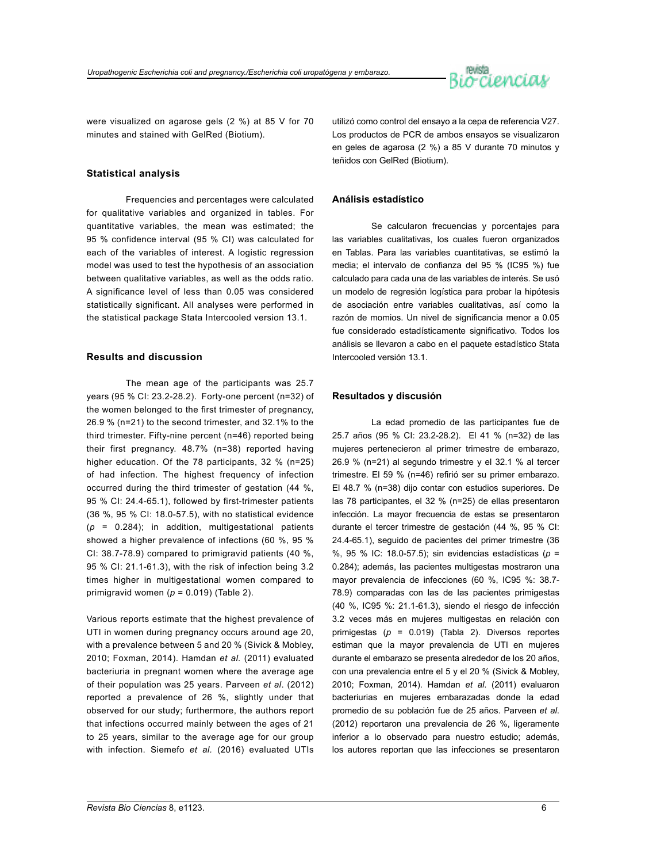

were visualized on agarose gels (2 %) at 85 V for 70 minutes and stained with GelRed (Biotium).

# **Statistical analysis**

Frequencies and percentages were calculated for qualitative variables and organized in tables. For quantitative variables, the mean was estimated; the 95 % confidence interval (95 % CI) was calculated for each of the variables of interest. A logistic regression model was used to test the hypothesis of an association between qualitative variables, as well as the odds ratio. A significance level of less than 0.05 was considered statistically significant. All analyses were performed in the statistical package Stata Intercooled version 13.1.

# **Results and discussion**

The mean age of the participants was 25.7 years (95 % CI: 23.2-28.2). Forty-one percent (n=32) of the women belonged to the first trimester of pregnancy, 26.9 % (n=21) to the second trimester, and 32.1% to the third trimester. Fifty-nine percent (n=46) reported being their first pregnancy. 48.7% (n=38) reported having higher education. Of the 78 participants, 32 % (n=25) of had infection. The highest frequency of infection occurred during the third trimester of gestation (44 %, 95 % CI: 24.4-65.1), followed by first-trimester patients (36 %, 95 % CI: 18.0-57.5), with no statistical evidence (*p* = 0.284); in addition, multigestational patients showed a higher prevalence of infections (60 %, 95 % CI: 38.7-78.9) compared to primigravid patients (40 %, 95 % CI: 21.1-61.3), with the risk of infection being 3.2 times higher in multigestational women compared to primigravid women (*p* = 0.019) (Table 2).

Various reports estimate that the highest prevalence of UTI in women during pregnancy occurs around age 20, with a prevalence between 5 and 20 % (Sivick & Mobley, 2010; Foxman, 2014). Hamdan *et al.* (2011) evaluated bacteriuria in pregnant women where the average age of their population was 25 years. Parveen *et al*. (2012) reported a prevalence of 26 %, slightly under that observed for our study; furthermore, the authors report that infections occurred mainly between the ages of 21 to 25 years, similar to the average age for our group with infection. Siemefo *et al.* (2016) evaluated UTIs utilizó como control del ensayo a la cepa de referencia V27. Los productos de PCR de ambos ensayos se visualizaron en geles de agarosa (2 %) a 85 V durante 70 minutos y teñidos con GelRed (Biotium).

# **Análisis estadístico**

Se calcularon frecuencias y porcentajes para las variables cualitativas, los cuales fueron organizados en Tablas. Para las variables cuantitativas, se estimó la media; el intervalo de confianza del 95 % (IC95 %) fue calculado para cada una de las variables de interés. Se usó un modelo de regresión logística para probar la hipótesis de asociación entre variables cualitativas, así como la razón de momios. Un nivel de significancia menor a 0.05 fue considerado estadísticamente significativo. Todos los análisis se llevaron a cabo en el paquete estadístico Stata Intercooled versión 13.1.

# **Resultados y discusión**

La edad promedio de las participantes fue de 25.7 años (95 % CI: 23.2-28.2). El 41 % (n=32) de las mujeres pertenecieron al primer trimestre de embarazo, 26.9 % (n=21) al segundo trimestre y el 32.1 % al tercer trimestre. El 59 % (n=46) refirió ser su primer embarazo. El 48.7 % (n=38) dijo contar con estudios superiores. De las 78 participantes, el 32 % (n=25) de ellas presentaron infección. La mayor frecuencia de estas se presentaron durante el tercer trimestre de gestación (44 %, 95 % CI: 24.4-65.1), seguido de pacientes del primer trimestre (36 %, 95 % IC: 18.0-57.5); sin evidencias estadísticas (*p* = 0.284); además, las pacientes multigestas mostraron una mayor prevalencia de infecciones (60 %, IC95 %: 38.7- 78.9) comparadas con las de las pacientes primigestas (40 %, IC95 %: 21.1-61.3), siendo el riesgo de infección 3.2 veces más en mujeres multigestas en relación con primigestas (*p* = 0.019) (Tabla 2). Diversos reportes estiman que la mayor prevalencia de UTI en mujeres durante el embarazo se presenta alrededor de los 20 años, con una prevalencia entre el 5 y el 20 % (Sivick & Mobley, 2010; Foxman, 2014). Hamdan *et al*. (2011) evaluaron bacteriurias en mujeres embarazadas donde la edad promedio de su población fue de 25 años. Parveen *et al*. (2012) reportaron una prevalencia de 26 %, ligeramente inferior a lo observado para nuestro estudio; además, los autores reportan que las infecciones se presentaron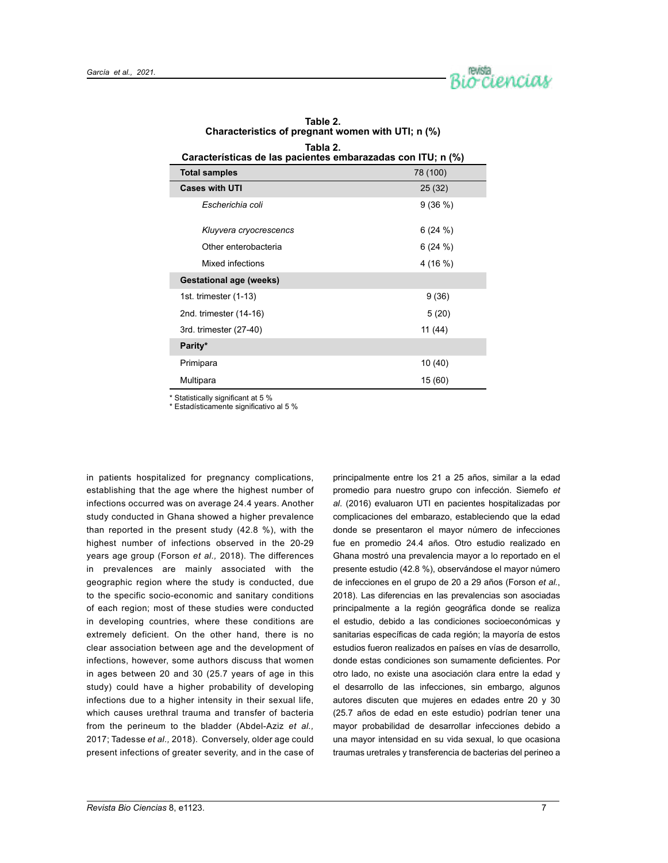

| Tabla 2.<br>Características de las pacientes embarazadas con ITU; n (%) |           |  |  |  |  |  |
|-------------------------------------------------------------------------|-----------|--|--|--|--|--|
| 78 (100)<br><b>Total samples</b>                                        |           |  |  |  |  |  |
| <b>Cases with UTI</b>                                                   | 25 (32)   |  |  |  |  |  |
| Escherichia coli                                                        | 9(36%)    |  |  |  |  |  |
| Kluyvera cryocrescencs                                                  | 6(24%)    |  |  |  |  |  |
| Other enterobacteria                                                    | 6(24%)    |  |  |  |  |  |
| Mixed infections                                                        | 4 (16 %)  |  |  |  |  |  |
| <b>Gestational age (weeks)</b>                                          |           |  |  |  |  |  |
| 1st. trimester (1-13)                                                   | 9(36)     |  |  |  |  |  |
| 2nd. trimester (14-16)                                                  | 5(20)     |  |  |  |  |  |
| 3rd. trimester (27-40)                                                  | 11 $(44)$ |  |  |  |  |  |
| Parity*                                                                 |           |  |  |  |  |  |
| Primipara                                                               | 10 (40)   |  |  |  |  |  |
| Multipara                                                               | 15 (60)   |  |  |  |  |  |

**Table 2. Characteristics of pregnant women with UTI; n (%)**

\* Statistically significant at 5 %

\* Estadísticamente significativo al 5 %

in patients hospitalized for pregnancy complications, establishing that the age where the highest number of infections occurred was on average 24.4 years. Another study conducted in Ghana showed a higher prevalence than reported in the present study (42.8 %), with the highest number of infections observed in the 20-29 years age group (Forson *et al.,* 2018). The differences in prevalences are mainly associated with the geographic region where the study is conducted, due to the specific socio-economic and sanitary conditions of each region; most of these studies were conducted in developing countries, where these conditions are extremely deficient. On the other hand, there is no clear association between age and the development of infections, however, some authors discuss that women in ages between 20 and 30 (25.7 years of age in this study) could have a higher probability of developing infections due to a higher intensity in their sexual life, which causes urethral trauma and transfer of bacteria from the perineum to the bladder (Abdel-Aziz *et al.,*  2017; Tadesse *et al.,* 2018). Conversely, older age could present infections of greater severity, and in the case of

principalmente entre los 21 a 25 años, similar a la edad promedio para nuestro grupo con infección. Siemefo *et al*. (2016) evaluaron UTI en pacientes hospitalizadas por complicaciones del embarazo, estableciendo que la edad donde se presentaron el mayor número de infecciones fue en promedio 24.4 años. Otro estudio realizado en Ghana mostró una prevalencia mayor a lo reportado en el presente estudio (42.8 %), observándose el mayor número de infecciones en el grupo de 20 a 29 años (Forson *et al.*, 2018). Las diferencias en las prevalencias son asociadas principalmente a la región geográfica donde se realiza el estudio, debido a las condiciones socioeconómicas y sanitarias específicas de cada región; la mayoría de estos estudios fueron realizados en países en vías de desarrollo, donde estas condiciones son sumamente deficientes. Por otro lado, no existe una asociación clara entre la edad y el desarrollo de las infecciones, sin embargo, algunos autores discuten que mujeres en edades entre 20 y 30 (25.7 años de edad en este estudio) podrían tener una mayor probabilidad de desarrollar infecciones debido a una mayor intensidad en su vida sexual, lo que ocasiona traumas uretrales y transferencia de bacterias del perineo a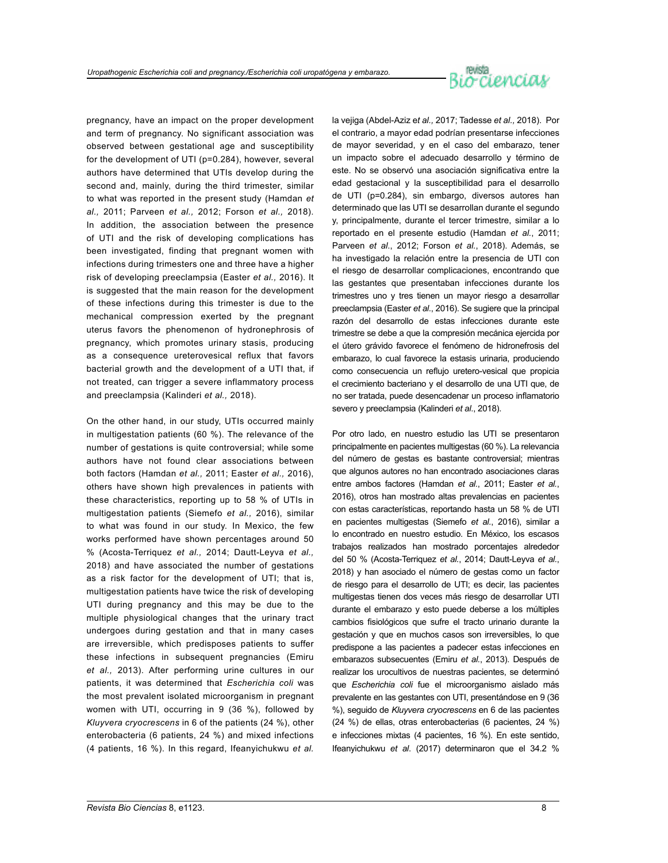# n<sup>ieista</sup><br>Bi*o*rcienciav

pregnancy, have an impact on the proper development and term of pregnancy. No significant association was observed between gestational age and susceptibility for the development of UTI (p=0.284), however, several authors have determined that UTIs develop during the second and, mainly, during the third trimester, similar to what was reported in the present study (Hamdan *et al.,* 2011; Parveen *et al.,* 2012; Forson *et al.,* 2018). In addition, the association between the presence of UTI and the risk of developing complications has been investigated, finding that pregnant women with infections during trimesters one and three have a higher risk of developing preeclampsia (Easter *et al.,* 2016). It is suggested that the main reason for the development of these infections during this trimester is due to the mechanical compression exerted by the pregnant uterus favors the phenomenon of hydronephrosis of pregnancy, which promotes urinary stasis, producing as a consequence ureterovesical reflux that favors bacterial growth and the development of a UTI that, if not treated, can trigger a severe inflammatory process and preeclampsia (Kalinderi *et al.,* 2018).

On the other hand, in our study, UTIs occurred mainly in multigestation patients (60 %). The relevance of the number of gestations is quite controversial; while some authors have not found clear associations between both factors (Hamdan *et al.,* 2011; Easter *et al.,* 2016), others have shown high prevalences in patients with these characteristics, reporting up to 58 % of UTIs in multigestation patients (Siemefo *et al.,* 2016), similar to what was found in our study. In Mexico, the few works performed have shown percentages around 50 % (Acosta-Terriquez *et al.,* 2014; Dautt-Leyva *et al.,*  2018) and have associated the number of gestations as a risk factor for the development of UTI; that is, multigestation patients have twice the risk of developing UTI during pregnancy and this may be due to the multiple physiological changes that the urinary tract undergoes during gestation and that in many cases are irreversible, which predisposes patients to suffer these infections in subsequent pregnancies (Emiru *et al.,* 2013). After performing urine cultures in our patients, it was determined that *Escherichia coli* was the most prevalent isolated microorganism in pregnant women with UTI, occurring in 9 (36 %), followed by *Kluyvera cryocrescens* in 6 of the patients (24 %), other enterobacteria (6 patients, 24 %) and mixed infections (4 patients, 16 %). In this regard, Ifeanyichukwu *et al.* 

la vejiga (Abdel-Aziz e*t al.,* 2017; Tadesse *et al.,* 2018). Por el contrario, a mayor edad podrían presentarse infecciones de mayor severidad, y en el caso del embarazo, tener un impacto sobre el adecuado desarrollo y término de este. No se observó una asociación significativa entre la edad gestacional y la susceptibilidad para el desarrollo de UTI (p=0.284), sin embargo, diversos autores han determinado que las UTI se desarrollan durante el segundo y, principalmente, durante el tercer trimestre, similar a lo reportado en el presente estudio (Hamdan *et al.*, 2011; Parveen *et al*., 2012; Forson *et al.*, 2018). Además, se ha investigado la relación entre la presencia de UTI con el riesgo de desarrollar complicaciones, encontrando que las gestantes que presentaban infecciones durante los trimestres uno y tres tienen un mayor riesgo a desarrollar preeclampsia (Easter *et al*., 2016). Se sugiere que la principal razón del desarrollo de estas infecciones durante este trimestre se debe a que la compresión mecánica ejercida por el útero grávido favorece el fenómeno de hidronefrosis del embarazo, lo cual favorece la estasis urinaria, produciendo como consecuencia un reflujo uretero-vesical que propicia el crecimiento bacteriano y el desarrollo de una UTI que, de no ser tratada, puede desencadenar un proceso inflamatorio severo y preeclampsia (Kalinderi *et al*., 2018).

Por otro lado, en nuestro estudio las UTI se presentaron principalmente en pacientes multigestas (60 %). La relevancia del número de gestas es bastante controversial; mientras que algunos autores no han encontrado asociaciones claras entre ambos factores (Hamdan *et al.*, 2011; Easter *et al.*, 2016), otros han mostrado altas prevalencias en pacientes con estas características, reportando hasta un 58 % de UTI en pacientes multigestas (Siemefo *et al.*, 2016), similar a lo encontrado en nuestro estudio. En México, los escasos trabajos realizados han mostrado porcentajes alrededor del 50 % (Acosta-Terriquez *et al.*, 2014; Dautt-Leyva *et al.*, 2018) y han asociado el número de gestas como un factor de riesgo para el desarrollo de UTI; es decir, las pacientes multigestas tienen dos veces más riesgo de desarrollar UTI durante el embarazo y esto puede deberse a los múltiples cambios fisiológicos que sufre el tracto urinario durante la gestación y que en muchos casos son irreversibles, lo que predispone a las pacientes a padecer estas infecciones en embarazos subsecuentes (Emiru *et al.*, 2013). Después de realizar los urocultivos de nuestras pacientes, se determinó que *Escherichia coli* fue el microorganismo aislado más prevalente en las gestantes con UTI, presentándose en 9 (36 %), seguido de *Kluyvera cryocrescens* en 6 de las pacientes (24 %) de ellas, otras enterobacterias (6 pacientes, 24 %) e infecciones mixtas (4 pacientes, 16 %). En este sentido, Ifeanyichukwu *et al*. (2017) determinaron que el 34.2 %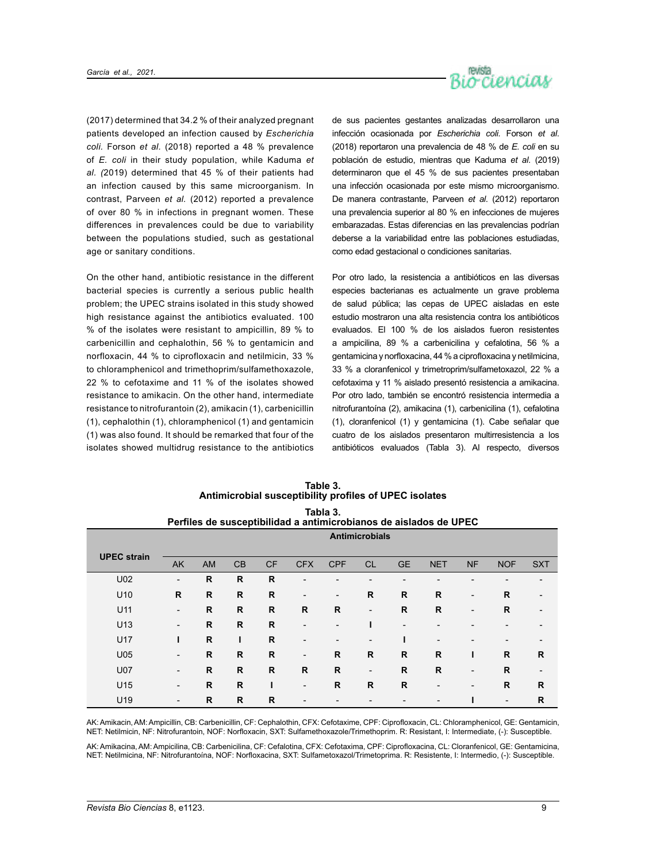

(2017) determined that 34.2 % of their analyzed pregnant patients developed an infection caused by *Escherichia coli.* Forson *et al.* (2018) reported a 48 % prevalence of *E. coli* in their study population, while Kaduma *et al. (*2019) determined that 45 % of their patients had an infection caused by this same microorganism. In contrast, Parveen *et al.* (2012) reported a prevalence of over 80 % in infections in pregnant women. These differences in prevalences could be due to variability between the populations studied, such as gestational age or sanitary conditions.

On the other hand, antibiotic resistance in the different bacterial species is currently a serious public health problem; the UPEC strains isolated in this study showed high resistance against the antibiotics evaluated. 100 % of the isolates were resistant to ampicillin, 89 % to carbenicillin and cephalothin, 56 % to gentamicin and norfloxacin, 44 % to ciprofloxacin and netilmicin, 33 % to chloramphenicol and trimethoprim/sulfamethoxazole, 22 % to cefotaxime and 11 % of the isolates showed resistance to amikacin. On the other hand, intermediate resistance to nitrofurantoin (2), amikacin (1), carbenicillin (1), cephalothin (1), chloramphenicol (1) and gentamicin (1) was also found. It should be remarked that four of the isolates showed multidrug resistance to the antibiotics

de sus pacientes gestantes analizadas desarrollaron una infección ocasionada por *Escherichia coli.* Forson *et al*. (2018) reportaron una prevalencia de 48 % de *E. coli* en su población de estudio, mientras que Kaduma *et al*. (2019) determinaron que el 45 % de sus pacientes presentaban una infección ocasionada por este mismo microorganismo. De manera contrastante, Parveen *et al*. (2012) reportaron una prevalencia superior al 80 % en infecciones de mujeres embarazadas. Estas diferencias en las prevalencias podrían deberse a la variabilidad entre las poblaciones estudiadas, como edad gestacional o condiciones sanitarias.

Por otro lado, la resistencia a antibióticos en las diversas especies bacterianas es actualmente un grave problema de salud pública; las cepas de UPEC aisladas en este estudio mostraron una alta resistencia contra los antibióticos evaluados. El 100 % de los aislados fueron resistentes a ampicilina, 89 % a carbenicilina y cefalotina, 56 % a gentamicina y norfloxacina, 44 % a ciprofloxacina y netilmicina, 33 % a cloranfenicol y trimetroprim/sulfametoxazol, 22 % a cefotaxima y 11 % aislado presentó resistencia a amikacina. Por otro lado, también se encontró resistencia intermedia a nitrofurantoína (2), amikacina (1), carbenicilina (1), cefalotina (1), cloranfenicol (1) y gentamicina (1). Cabe señalar que cuatro de los aislados presentaron multirresistencia a los antibióticos evaluados (Tabla 3). Al respecto, diversos

| Perfiles de susceptibilidad a antimicrobianos de aislados de UPEC |                          |              |              |              |                          |                          |                          |                          |              |                          |                |              |
|-------------------------------------------------------------------|--------------------------|--------------|--------------|--------------|--------------------------|--------------------------|--------------------------|--------------------------|--------------|--------------------------|----------------|--------------|
|                                                                   | <b>Antimicrobials</b>    |              |              |              |                          |                          |                          |                          |              |                          |                |              |
|                                                                   |                          |              |              |              |                          |                          |                          |                          |              |                          |                |              |
| <b>UPEC</b> strain                                                | <b>AK</b>                | <b>AM</b>    | CB           | <b>CF</b>    | <b>CFX</b>               | <b>CPF</b>               | <b>CL</b>                | <b>GE</b>                | <b>NET</b>   | <b>NF</b>                | <b>NOF</b>     | <b>SXT</b>   |
| U02                                                               | $\overline{\phantom{a}}$ | $\mathsf{R}$ | R            | R            |                          |                          |                          | $\blacksquare$           |              |                          |                |              |
| U <sub>10</sub>                                                   | $\mathsf{R}$             | R            | $\mathsf{R}$ | R            | $\overline{\phantom{a}}$ | $\overline{\phantom{a}}$ | R                        | R                        | R            | $\overline{\phantom{a}}$ | $\mathsf{R}$   |              |
| U11                                                               | $\overline{\phantom{a}}$ | $\mathsf{R}$ | $\mathsf{R}$ | R            | R                        | R                        | $\overline{a}$           | R                        | $\mathsf{R}$ | $\blacksquare$           | $\mathsf{R}$   |              |
| U13                                                               | $\overline{\phantom{0}}$ | $\mathsf{R}$ | $\mathsf{R}$ | R            | ۰                        |                          |                          | $\overline{\phantom{a}}$ |              |                          |                |              |
| U17                                                               |                          | $\mathsf{R}$ | ı            | R            |                          |                          |                          |                          |              |                          |                |              |
| <b>U05</b>                                                        | $\overline{\phantom{0}}$ | R            | $\mathsf{R}$ | R            | $\overline{\phantom{a}}$ | R                        | R                        | R                        | $\mathsf{R}$ |                          | $\mathsf{R}$   | R            |
| <b>U07</b>                                                        | $\overline{\phantom{0}}$ | $\mathsf{R}$ | $\mathbf R$  | $\mathsf{R}$ | $\mathsf{R}$             | R                        | $\overline{\phantom{a}}$ | R                        | $\mathsf{R}$ | $\blacksquare$           | $\mathsf{R}$   |              |
| U15                                                               | $\overline{\phantom{0}}$ | $\mathbf R$  | $\mathbf R$  |              | ۰                        | R                        | R                        | $\mathbf R$              |              | $\overline{\phantom{0}}$ | $\mathbf R$    | $\mathsf{R}$ |
| U19                                                               | $\overline{\phantom{0}}$ | $\mathsf{R}$ | $\mathbf R$  | $\mathsf{R}$ |                          |                          |                          |                          |              |                          | $\overline{a}$ | $\mathsf{R}$ |

| Table 3.<br>Antimicrobial susceptibility profiles of UPEC isolates |
|--------------------------------------------------------------------|
| Tahla 3                                                            |

AK: Amikacin, AM: Ampicillin, CB: Carbenicillin, CF: Cephalothin, CFX: Cefotaxime, CPF: Ciprofloxacin, CL: Chloramphenicol, GE: Gentamicin, NET: Netilmicin, NF: Nitrofurantoin, NOF: Norfloxacin, SXT: Sulfamethoxazole/Trimethoprim. R: Resistant, I: Intermediate, (-): Susceptible.

AK: Amikacina, AM: Ampicilina, CB: Carbenicilina, CF: Cefalotina, CFX: Cefotaxima, CPF: Ciprofloxacina, CL: Cloranfenicol, GE: Gentamicina, NET: Netilmicina, NF: Nitrofurantoína, NOF: Norfloxacina, SXT: Sulfametoxazol/Trimetoprima. R: Resistente, I: Intermedio, (-): Susceptible.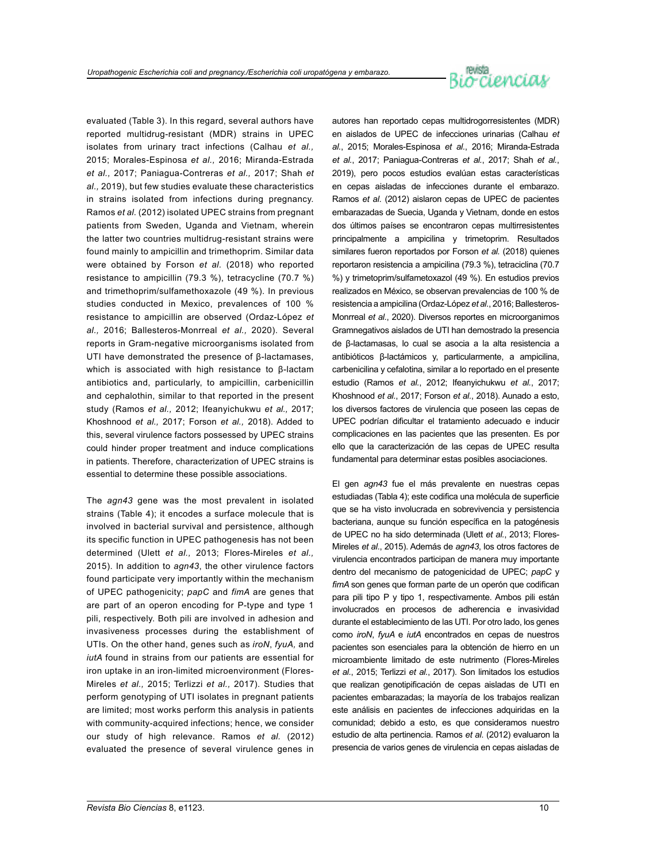# reista<br>Or Cienciav

evaluated (Table 3). In this regard, several authors have reported multidrug-resistant (MDR) strains in UPEC isolates from urinary tract infections (Calhau *et al.,* 2015; Morales-Espinosa *et al.,* 2016; Miranda-Estrada *et al.,* 2017; Paniagua-Contreras *et al.,* 2017; Shah *et al.,* 2019), but few studies evaluate these characteristics in strains isolated from infections during pregnancy. Ramos *et al.* (2012) isolated UPEC strains from pregnant patients from Sweden, Uganda and Vietnam, wherein the latter two countries multidrug-resistant strains were found mainly to ampicillin and trimethoprim. Similar data were obtained by Forson *et al.* (2018) who reported resistance to ampicillin (79.3 %), tetracycline (70.7 %) and trimethoprim/sulfamethoxazole (49 %). In previous studies conducted in Mexico, prevalences of 100 % resistance to ampicillin are observed (Ordaz-López *et al.,* 2016; Ballesteros-Monrreal *et al.,* 2020). Several reports in Gram-negative microorganisms isolated from UTI have demonstrated the presence of β-lactamases, which is associated with high resistance to β-lactam antibiotics and, particularly, to ampicillin, carbenicillin and cephalothin, similar to that reported in the present study (Ramos *et al.,* 2012; Ifeanyichukwu *et al.,* 2017; Khoshnood *et al.,* 2017; Forson *et al.,* 2018). Added to this, several virulence factors possessed by UPEC strains could hinder proper treatment and induce complications in patients. Therefore, characterization of UPEC strains is essential to determine these possible associations.

The *agn43* gene was the most prevalent in isolated strains (Table 4); it encodes a surface molecule that is involved in bacterial survival and persistence, although its specific function in UPEC pathogenesis has not been determined (Ulett *et al.,* 2013; Flores-Mireles *et al.,*  2015). In addition to *agn43*, the other virulence factors found participate very importantly within the mechanism of UPEC pathogenicity; *papC* and *fimA* are genes that are part of an operon encoding for P-type and type 1 pili, respectively. Both pili are involved in adhesion and invasiveness processes during the establishment of UTIs. On the other hand, genes such as *iroN*, *fyuA,* and *iutA* found in strains from our patients are essential for iron uptake in an iron-limited microenvironment (Flores-Mireles *et al.,* 2015; Terlizzi *et al.,* 2017). Studies that perform genotyping of UTI isolates in pregnant patients are limited; most works perform this analysis in patients with community-acquired infections; hence, we consider our study of high relevance. Ramos *et al.* (2012) evaluated the presence of several virulence genes in

autores han reportado cepas multidrogorresistentes (MDR) en aislados de UPEC de infecciones urinarias (Calhau *et al.*, 2015; Morales-Espinosa *et al.*, 2016; Miranda-Estrada *et al.*, 2017; Paniagua-Contreras *et al.*, 2017; Shah *et al.*, 2019), pero pocos estudios evalúan estas características en cepas aisladas de infecciones durante el embarazo. Ramos *et al*. (2012) aislaron cepas de UPEC de pacientes embarazadas de Suecia, Uganda y Vietnam, donde en estos dos últimos países se encontraron cepas multirresistentes principalmente a ampicilina y trimetoprim. Resultados similares fueron reportados por Forson *et al.* (2018) quienes reportaron resistencia a ampicilina (79.3 %), tetraciclina (70.7 %) y trimetoprim/sulfametoxazol (49 %). En estudios previos realizados en México, se observan prevalencias de 100 % de resistencia a ampicilina (Ordaz-López *et al.*, 2016; Ballesteros-Monrreal *et al.*, 2020). Diversos reportes en microorganimos Gramnegativos aislados de UTI han demostrado la presencia de β-lactamasas, lo cual se asocia a la alta resistencia a antibióticos β-lactámicos y, particularmente, a ampicilina, carbenicilina y cefalotina, similar a lo reportado en el presente estudio (Ramos *et al.*, 2012; Ifeanyichukwu *et al.*, 2017; Khoshnood *et al.*, 2017; Forson *et al.*, 2018). Aunado a esto, los diversos factores de virulencia que poseen las cepas de UPEC podrían dificultar el tratamiento adecuado e inducir complicaciones en las pacientes que las presenten. Es por ello que la caracterización de las cepas de UPEC resulta fundamental para determinar estas posibles asociaciones.

El gen *agn43* fue el más prevalente en nuestras cepas estudiadas (Tabla 4); este codifica una molécula de superficie que se ha visto involucrada en sobrevivencia y persistencia bacteriana, aunque su función específica en la patogénesis de UPEC no ha sido determinada (Ulett *et al.*, 2013; Flores-Mireles *et al*., 2015). Además de *agn43*, los otros factores de virulencia encontrados participan de manera muy importante dentro del mecanismo de patogenicidad de UPEC; *papC* y *fimA* son genes que forman parte de un operón que codifican para pili tipo P y tipo 1, respectivamente. Ambos pili están involucrados en procesos de adherencia e invasividad durante el establecimiento de las UTI. Por otro lado, los genes como *iroN*, *fyuA* e *iutA* encontrados en cepas de nuestros pacientes son esenciales para la obtención de hierro en un microambiente limitado de este nutrimento (Flores-Mireles *et al.*, 2015; Terlizzi *et al.*, 2017). Son limitados los estudios que realizan genotipificación de cepas aisladas de UTI en pacientes embarazadas; la mayoría de los trabajos realizan este análisis en pacientes de infecciones adquiridas en la comunidad; debido a esto, es que consideramos nuestro estudio de alta pertinencia. Ramos *et al*. (2012) evaluaron la presencia de varios genes de virulencia en cepas aisladas de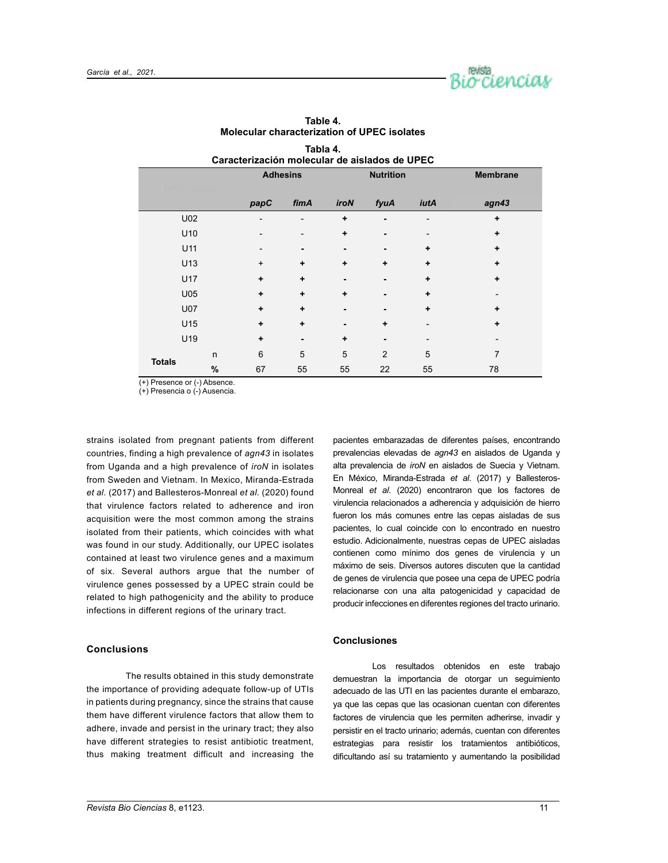

| Caracterización molecular de aislados de UPEC |   |                 |                          |                  |      |           |                          |  |  |
|-----------------------------------------------|---|-----------------|--------------------------|------------------|------|-----------|--------------------------|--|--|
|                                               |   | <b>Adhesins</b> |                          | <b>Nutrition</b> |      |           | <b>Membrane</b>          |  |  |
|                                               |   |                 |                          |                  |      |           |                          |  |  |
|                                               |   | papC            | fimA                     | <b>iroN</b>      | fyuA | iutA      | agn43                    |  |  |
| U02                                           |   |                 | -                        | ٠                |      |           | ٠                        |  |  |
| U <sub>10</sub>                               |   |                 | $\overline{\phantom{a}}$ | ٠                |      |           | ÷                        |  |  |
| U11                                           |   |                 | ۰                        |                  |      | ÷         | ÷                        |  |  |
| U13                                           |   | $\ddot{}$       | $\ddot{}$                | ٠                | ÷    | ٠         | ÷                        |  |  |
| U17                                           |   | ۰               | $\ddot{}$                |                  |      | ٠         | ÷                        |  |  |
| U <sub>05</sub>                               |   | ÷               | $\ddot{}$                | ٠                |      | $\ddot{}$ | $\overline{\phantom{a}}$ |  |  |
| <b>U07</b>                                    |   | ٠               | $\ddot{}$                |                  |      | ٠         | ٠                        |  |  |
| U15                                           |   | ٠               | $\ddot{}$                |                  | ÷    |           | ÷                        |  |  |
| U19                                           |   | ٠               | ۰                        | ٠                |      |           |                          |  |  |
| <b>Totals</b>                                 | n | $6\phantom{1}$  | 5                        | 5                | 2    | 5         | $\overline{7}$           |  |  |
|                                               | % | 67              | 55                       | 55               | 22   | 55        | 78                       |  |  |

**Table 4. Molecular characterization of UPEC isolates**

**Tabla 4.**

(+) Presence or (-) Absence.

(+) Presencia o (-) Ausencia.

strains isolated from pregnant patients from different countries, finding a high prevalence of *agn43* in isolates from Uganda and a high prevalence of *iroN* in isolates from Sweden and Vietnam. In Mexico, Miranda-Estrada *et al.* (2017) and Ballesteros-Monreal *et al.* (2020) found that virulence factors related to adherence and iron acquisition were the most common among the strains isolated from their patients, which coincides with what was found in our study. Additionally, our UPEC isolates contained at least two virulence genes and a maximum of six. Several authors argue that the number of virulence genes possessed by a UPEC strain could be related to high pathogenicity and the ability to produce infections in different regions of the urinary tract.

# **Conclusions**

The results obtained in this study demonstrate the importance of providing adequate follow-up of UTIs in patients during pregnancy, since the strains that cause them have different virulence factors that allow them to adhere, invade and persist in the urinary tract; they also have different strategies to resist antibiotic treatment, thus making treatment difficult and increasing the pacientes embarazadas de diferentes países, encontrando prevalencias elevadas de *agn43* en aislados de Uganda y alta prevalencia de *iroN* en aislados de Suecia y Vietnam. En México, Miranda-Estrada *et al*. (2017) y Ballesteros-Monreal *et al*. (2020) encontraron que los factores de virulencia relacionados a adherencia y adquisición de hierro fueron los más comunes entre las cepas aisladas de sus pacientes, lo cual coincide con lo encontrado en nuestro estudio. Adicionalmente, nuestras cepas de UPEC aisladas contienen como mínimo dos genes de virulencia y un máximo de seis. Diversos autores discuten que la cantidad de genes de virulencia que posee una cepa de UPEC podría relacionarse con una alta patogenicidad y capacidad de producir infecciones en diferentes regiones del tracto urinario.

# **Conclusiones**

Los resultados obtenidos en este trabajo demuestran la importancia de otorgar un seguimiento adecuado de las UTI en las pacientes durante el embarazo, ya que las cepas que las ocasionan cuentan con diferentes factores de virulencia que les permiten adherirse, invadir y persistir en el tracto urinario; además, cuentan con diferentes estrategias para resistir los tratamientos antibióticos, dificultando así su tratamiento y aumentando la posibilidad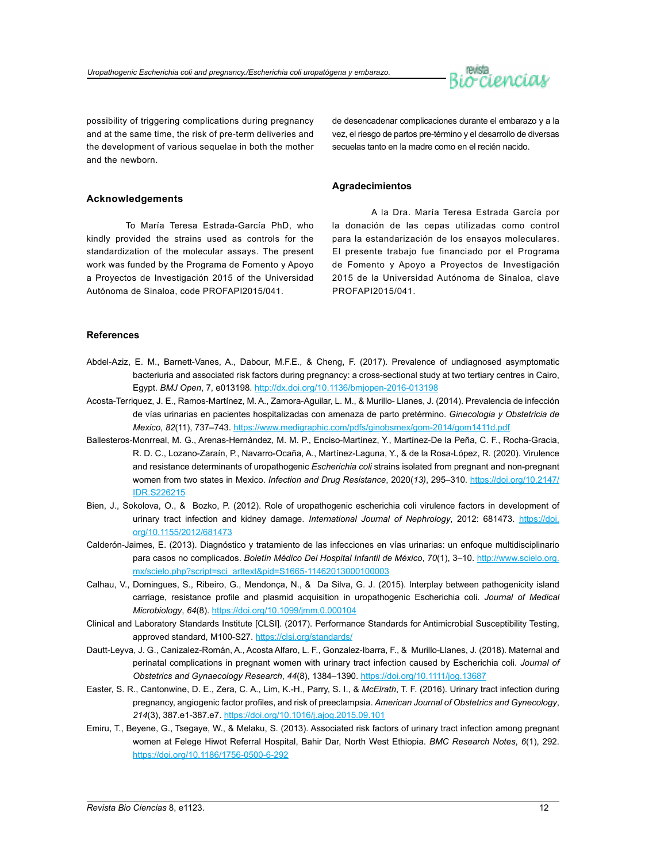

possibility of triggering complications during pregnancy and at the same time, the risk of pre-term deliveries and the development of various sequelae in both the mother and the newborn.

de desencadenar complicaciones durante el embarazo y a la vez, el riesgo de partos pre-término y el desarrollo de diversas secuelas tanto en la madre como en el recién nacido.

# **Acknowledgements**

To María Teresa Estrada-García PhD, who kindly provided the strains used as controls for the standardization of the molecular assays. The present work was funded by the Programa de Fomento y Apoyo a Proyectos de Investigación 2015 of the Universidad Autónoma de Sinaloa, code PROFAPI2015/041.

A la Dra. María Teresa Estrada García por la donación de las cepas utilizadas como control para la estandarización de los ensayos moleculares.

**Agradecimientos**

El presente trabajo fue financiado por el Programa de Fomento y Apoyo a Proyectos de Investigación 2015 de la Universidad Autónoma de Sinaloa, clave PROFAPI2015/041.

# **References**

- Abdel-Aziz, E. M., Barnett-Vanes, A., Dabour, M.F.E., & Cheng, F. (2017). Prevalence of undiagnosed asymptomatic bacteriuria and associated risk factors during pregnancy: a cross-sectional study at two tertiary centres in Cairo, Egypt. *BMJ Open*, 7, e013198. <http://dx.doi.org/10.1136/bmjopen-2016-013198>
- Acosta-Terriquez, J. E., Ramos-Martínez, M. A., Zamora-Aguilar, L. M., & Murillo- Llanes, J. (2014). Prevalencia de infección de vías urinarias en pacientes hospitalizadas con amenaza de parto pretérmino. *Ginecologia y Obstetricia de Mexico*, *82*(11), 737–743.<https://www.medigraphic.com/pdfs/ginobsmex/gom-2014/gom1411d.pdf>
- Ballesteros-Monrreal, M. G., Arenas-Hernández, M. M. P., Enciso-Martínez, Y., Martínez-De la Peña, C. F., Rocha-Gracia, R. D. C., Lozano-Zaraín, P., Navarro-Ocaña, A., Martínez-Laguna, Y., & de la Rosa-López, R. (2020). Virulence and resistance determinants of uropathogenic *Escherichia coli* strains isolated from pregnant and non-pregnant women from two states in Mexico. *Infection and Drug Resistance*, 2020(*13)*, 295–310. [https://doi.org/10.2147/](https://doi.org/10.2147/IDR.S226215) [IDR.S226215](https://doi.org/10.2147/IDR.S226215)
- Bien, J., Sokolova, O., & Bozko, P. (2012). Role of uropathogenic escherichia coli virulence factors in development of urinary tract infection and kidney damage. *International Journal of Nephrology*, 2012: 681473. [https://doi.](https://doi.org/10.1155/2012/681473) [org/10.1155/2012/681473](https://doi.org/10.1155/2012/681473)
- Calderón-Jaimes, E. (2013). Diagnóstico y tratamiento de las infecciones en vías urinarias: un enfoque multidisciplinario para casos no complicados. *Boletín Médico Del Hospital Infantil de México*, *70*(1), 3–10. [http://www.scielo.org.](http://www.scielo.org.mx/scielo.php?script=sci_arttext&pid=S1665-11462013000100003) [mx/scielo.php?script=sci\\_arttext&pid=S1665-11462013000100003](http://www.scielo.org.mx/scielo.php?script=sci_arttext&pid=S1665-11462013000100003)
- Calhau, V., Domingues, S., Ribeiro, G., Mendonça, N., & Da Silva, G. J. (2015). Interplay between pathogenicity island carriage, resistance profile and plasmid acquisition in uropathogenic Escherichia coli. *Journal of Medical Microbiology*, *64*(8).<https://doi.org/10.1099/jmm.0.000104>
- Clinical and Laboratory Standards Institute [CLSI]. (2017). Performance Standards for Antimicrobial Susceptibility Testing, approved standard, M100-S27.<https://clsi.org/standards/>
- Dautt-Leyva, J. G., Canizalez-Román, A., Acosta Alfaro, L. F., Gonzalez-Ibarra, F., & Murillo-Llanes, J. (2018). Maternal and perinatal complications in pregnant women with urinary tract infection caused by Escherichia coli. *Journal of Obstetrics and Gynaecology Research*, *44*(8), 1384–1390. <https://doi.org/10.1111/jog.13687>
- Easter, S. R., Cantonwine, D. E., Zera, C. A., Lim, K.-H., Parry, S. I., & *McElrath*, T. F. (2016). Urinary tract infection during pregnancy, angiogenic factor profiles, and risk of preeclampsia. *American Journal of Obstetrics and Gynecology*, *214*(3), 387.e1-387.e7. <https://doi.org/10.1016/j.ajog.2015.09.101>
- Emiru, T., Beyene, G., Tsegaye, W., & Melaku, S. (2013). Associated risk factors of urinary tract infection among pregnant women at Felege Hiwot Referral Hospital, Bahir Dar, North West Ethiopia. *BMC Research Notes*, *6*(1), 292. <https://doi.org/10.1186/1756-0500-6-292>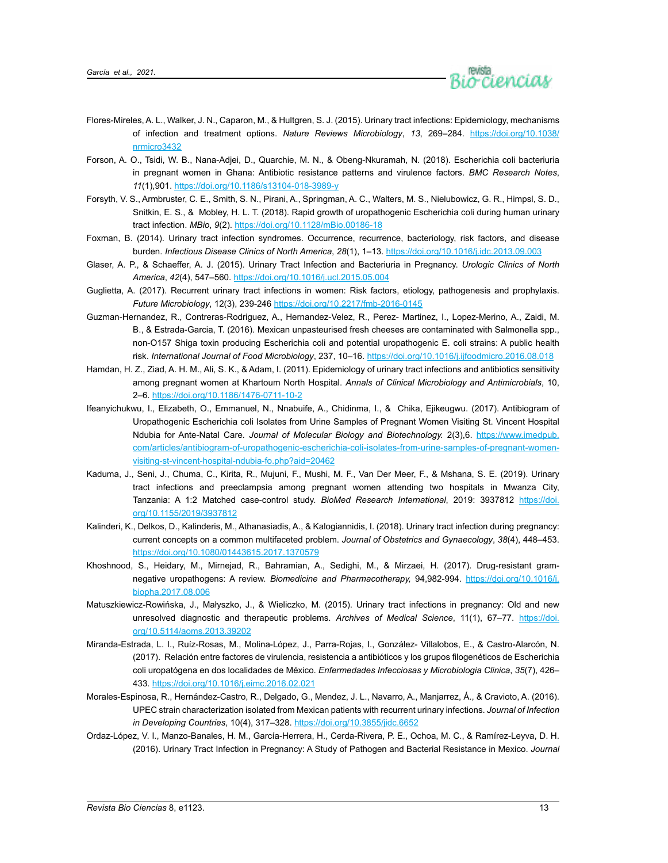

- Flores-Mireles, A. L., Walker, J. N., Caparon, M., & Hultgren, S. J. (2015). Urinary tract infections: Epidemiology, mechanisms of infection and treatment options. *Nature Reviews Microbiology*, *13*, 269–284. [https://doi.org/10.1038/](https://doi.org/10.1038/nrmicro3432) [nrmicro3432](https://doi.org/10.1038/nrmicro3432)
- Forson, A. O., Tsidi, W. B., Nana-Adjei, D., Quarchie, M. N., & Obeng-Nkuramah, N. (2018). Escherichia coli bacteriuria in pregnant women in Ghana: Antibiotic resistance patterns and virulence factors. *BMC Research Notes*, *11*(1),901. <https://doi.org/10.1186/s13104-018-3989-y>
- Forsyth, V. S., Armbruster, C. E., Smith, S. N., Pirani, A., Springman, A. C., Walters, M. S., Nielubowicz, G. R., Himpsl, S. D., Snitkin, E. S., & Mobley, H. L. T. (2018). Rapid growth of uropathogenic Escherichia coli during human urinary tract infection. *MBio*, *9*(2).<https://doi.org/10.1128/mBio.00186-18>
- Foxman, B. (2014). Urinary tract infection syndromes. Occurrence, recurrence, bacteriology, risk factors, and disease burden. *Infectious Disease Clinics of North America*, *28*(1), 1–13.<https://doi.org/10.1016/j.idc.2013.09.003>
- Glaser, A. P., & Schaeffer, A. J. (2015). Urinary Tract Infection and Bacteriuria in Pregnancy. *Urologic Clinics of North America*, *42*(4), 547–560.<https://doi.org/10.1016/j.ucl.2015.05.004>
- Guglietta, A. (2017). Recurrent urinary tract infections in women: Risk factors, etiology, pathogenesis and prophylaxis. *Future Microbiology*, 12(3), 239-246<https://doi.org/10.2217/fmb-2016-0145>
- Guzman-Hernandez, R., Contreras-Rodriguez, A., Hernandez-Velez, R., Perez- Martinez, I., Lopez-Merino, A., Zaidi, M. B., & Estrada-Garcia, T. (2016). Mexican unpasteurised fresh cheeses are contaminated with Salmonella spp., non-O157 Shiga toxin producing Escherichia coli and potential uropathogenic E. coli strains: A public health risk. *International Journal of Food Microbiology*, 237, 10–16. <https://doi.org/10.1016/j.ijfoodmicro.2016.08.018>
- Hamdan, H. Z., Ziad, A. H. M., Ali, S. K., & Adam, I. (2011). Epidemiology of urinary tract infections and antibiotics sensitivity among pregnant women at Khartoum North Hospital. *Annals of Clinical Microbiology and Antimicrobials*, 10, 2–6. <https://doi.org/10.1186/1476-0711-10-2>
- Ifeanyichukwu, I., Elizabeth, O., Emmanuel, N., Nnabuife, A., Chidinma, I., & Chika, Ejikeugwu. (2017). Antibiogram of Uropathogenic Escherichia coli Isolates from Urine Samples of Pregnant Women Visiting St. Vincent Hospital Ndubia for Ante-Natal Care*. Journal of Molecular Biology and Biotechnology.* 2(3),6. [https://www.imedpub.](https://www.imedpub.com/articles/antibiogram-of-uropathogenic-escherichia-coli-isolates-from-urine-samples-of-pregnant-women-visiting-st-vincent-hospital-ndubia-fo.php?aid=20462) [com/articles/antibiogram-of-uropathogenic-escherichia-coli-isolates-from-urine-samples-of-pregnant-women](https://www.imedpub.com/articles/antibiogram-of-uropathogenic-escherichia-coli-isolates-from-urine-samples-of-pregnant-women-visiting-st-vincent-hospital-ndubia-fo.php?aid=20462)[visiting-st-vincent-hospital-ndubia-fo.php?aid=20462](https://www.imedpub.com/articles/antibiogram-of-uropathogenic-escherichia-coli-isolates-from-urine-samples-of-pregnant-women-visiting-st-vincent-hospital-ndubia-fo.php?aid=20462)
- Kaduma, J., Seni, J., Chuma, C., Kirita, R., Mujuni, F., Mushi, M. F., Van Der Meer, F., & Mshana, S. E. (2019). Urinary tract infections and preeclampsia among pregnant women attending two hospitals in Mwanza City, Tanzania: A 1:2 Matched case-control study. *BioMed Research International*, 2019: 3937812 [https://doi.](https://doi.org/10.1155/2019/3937812) [org/10.1155/2019/3937812](https://doi.org/10.1155/2019/3937812)
- Kalinderi, K., Delkos, D., Kalinderis, M., Athanasiadis, A., & Kalogiannidis, I. (2018). Urinary tract infection during pregnancy: current concepts on a common multifaceted problem. *Journal of Obstetrics and Gynaecology*, *38*(4), 448–453. <https://doi.org/10.1080/01443615.2017.1370579>
- Khoshnood, S., Heidary, M., Mirnejad, R., Bahramian, A., Sedighi, M., & Mirzaei, H. (2017). Drug-resistant gramnegative uropathogens: A review. *Biomedicine and Pharmacotherapy,* 94,982-994. [https://doi.org/10.1016/j.](https://doi.org/10.1016/j.biopha.2017.08.006) [biopha.2017.08.006](https://doi.org/10.1016/j.biopha.2017.08.006)
- Matuszkiewicz-Rowińska, J., Małyszko, J., & Wieliczko, M. (2015). Urinary tract infections in pregnancy: Old and new unresolved diagnostic and therapeutic problems. *Archives of Medical Science*, 11(1), 67–77. [https://doi.](https://doi.org/10.5114/aoms.2013.39202) [org/10.5114/aoms.2013.39202](https://doi.org/10.5114/aoms.2013.39202)
- Miranda-Estrada, L. I., Ruíz-Rosas, M., Molina-López, J., Parra-Rojas, I., González- Villalobos, E., & Castro-Alarcón, N. (2017). Relación entre factores de virulencia, resistencia a antibióticos y los grupos filogenéticos de Escherichia coli uropatógena en dos localidades de México. *Enfermedades Infecciosas y Microbiologia Clinica*, *35*(7), 426– 433. <https://doi.org/10.1016/j.eimc.2016.02.021>
- Morales-Espinosa, R., Hernández-Castro, R., Delgado, G., Mendez, J. L., Navarro, A., Manjarrez, Á., & Cravioto, A. (2016). UPEC strain characterization isolated from Mexican patients with recurrent urinary infections. *Journal of Infection in Developing Countries*, 10(4), 317–328. <https://doi.org/10.3855/jidc.6652>
- Ordaz-López, V. I., Manzo-Banales, H. M., García-Herrera, H., Cerda-Rivera, P. E., Ochoa, M. C., & Ramírez-Leyva, D. H. (2016). Urinary Tract Infection in Pregnancy: A Study of Pathogen and Bacterial Resistance in Mexico. *Journal*